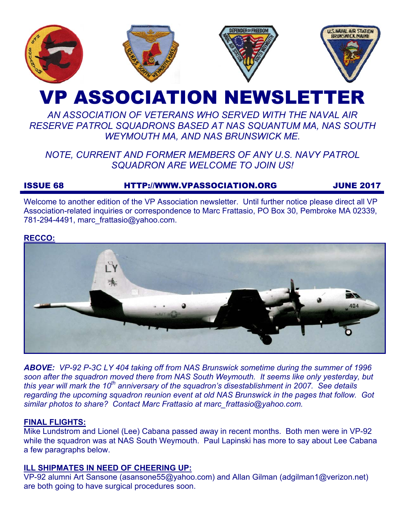

# VP ASSOCIATION NEWSLETTER

# *AN ASSOCIATION OF VETERANS WHO SERVED WITH THE NAVAL AIR RESERVE PATROL SQUADRONS BASED AT NAS SQUANTUM MA, NAS SOUTH WEYMOUTH MA, AND NAS BRUNSWICK ME.*

# *NOTE, CURRENT AND FORMER MEMBERS OF ANY U.S. NAVY PATROL SQUADRON ARE WELCOME TO JOIN US!*

# ISSUE 68 HTTP://WWW.VPASSOCIATION.ORG JUNE 2017

Welcome to another edition of the VP Association newsletter. Until further notice please direct all VP Association-related inquiries or correspondence to Marc Frattasio, PO Box 30, Pembroke MA 02339, 781-294-4491, marc\_frattasio@yahoo.com.

#### **RECCO:**



*ABOVE: VP-92 P-3C LY 404 taking off from NAS Brunswick sometime during the summer of 1996 soon after the squadron moved there from NAS South Weymouth. It seems like only yesterday, but this year will mark the 10<sup>th</sup> anniversary of the squadron's disestablishment in 2007. See details regarding the upcoming squadron reunion event at old NAS Brunswick in the pages that follow. Got similar photos to share? Contact Marc Frattasio at marc\_frattasio@yahoo.com.* 

#### **FINAL FLIGHTS:**

Mike Lundstrom and Lionel (Lee) Cabana passed away in recent months. Both men were in VP-92 while the squadron was at NAS South Weymouth. Paul Lapinski has more to say about Lee Cabana a few paragraphs below.

#### **ILL SHIPMATES IN NEED OF CHEERING UP:**

VP-92 alumni Art Sansone (asansone55@yahoo.com) and Allan Gilman (adgilman1@verizon.net) are both going to have surgical procedures soon.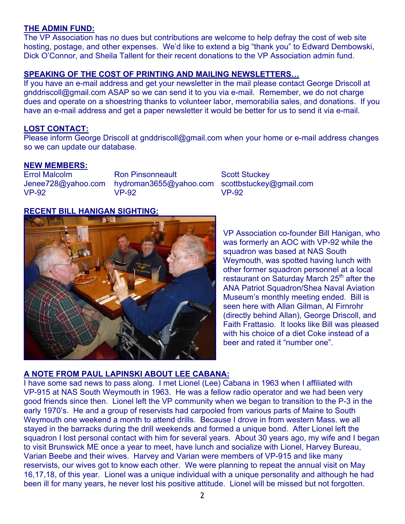#### **THE ADMIN FUND:**

The VP Association has no dues but contributions are welcome to help defray the cost of web site hosting, postage, and other expenses. We'd like to extend a big "thank you" to Edward Dembowski, Dick O'Connor, and Sheila Tallent for their recent donations to the VP Association admin fund.

#### **SPEAKING OF THE COST OF PRINTING AND MAILING NEWSLETTERS…**

If you have an e-mail address and get your newsletter in the mail please contact George Driscoll at gnddriscoll@gmail.com ASAP so we can send it to you via e-mail. Remember, we do not charge dues and operate on a shoestring thanks to volunteer labor, memorabilia sales, and donations. If you have an e-mail address and get a paper newsletter it would be better for us to send it via e-mail.

#### **LOST CONTACT:**

Please inform George Driscoll at gnddriscoll@gmail.com when your home or e-mail address changes so we can update our database.

#### **NEW MEMBERS:**

Errol Malcolm Jenee728@yahoo.com VP-92

Ron Pinsonneault hydroman3655@yahoo.com VP-92

Scott Stuckey scottbstuckey@gmail.com VP-92

### **RECENT BILL HANIGAN SIGHTING:**



VP Association co-founder Bill Hanigan, who was formerly an AOC with VP-92 while the squadron was based at NAS South Weymouth, was spotted having lunch with other former squadron personnel at a local restaurant on Saturday March 25<sup>th</sup> after the ANA Patriot Squadron/Shea Naval Aviation Museum's monthly meeting ended. Bill is seen here with Allan Gilman, Al Firnrohr (directly behind Allan), George Driscoll, and Faith Frattasio. It looks like Bill was pleased with his choice of a diet Coke instead of a beer and rated it "number one".

#### **A NOTE FROM PAUL LAPINSKI ABOUT LEE CABANA:**

I have some sad news to pass along. I met Lionel (Lee) Cabana in 1963 when I affiliated with VP-915 at NAS South Weymouth in 1963. He was a fellow radio operator and we had been very good friends since then. Lionel left the VP community when we began to transition to the P-3 in the early 1970's. He and a group of reservists had carpooled from various parts of Maine to South Weymouth one weekend a month to attend drills. Because I drove in from western Mass. we all stayed in the barracks during the drill weekends and formed a unique bond. After Lionel left the squadron I lost personal contact with him for several years. About 30 years ago, my wife and I began to visit Brunswick ME once a year to meet, have lunch and socialize with Lionel, Harvey Bureau, Varian Beebe and their wives. Harvey and Varian were members of VP-915 and like many reservists, our wives got to know each other. We were planning to repeat the annual visit on May 16,17,18, of this year. Lionel was a unique individual with a unique personality and although he had been ill for many years, he never lost his positive attitude. Lionel will be missed but not forgotten.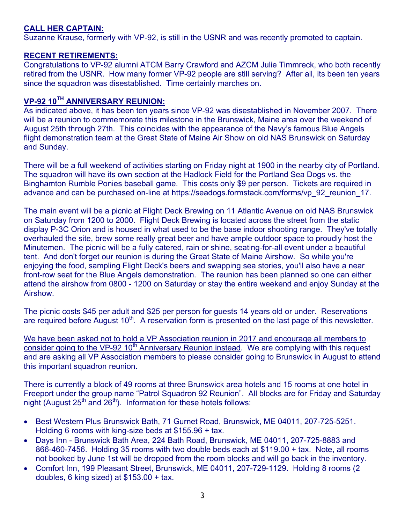### **CALL HER CAPTAIN:**

Suzanne Krause, formerly with VP-92, is still in the USNR and was recently promoted to captain.

#### **RECENT RETIREMENTS:**

Congratulations to VP-92 alumni ATCM Barry Crawford and AZCM Julie Timmreck, who both recently retired from the USNR. How many former VP-92 people are still serving? After all, its been ten years since the squadron was disestablished. Time certainly marches on.

#### **VP-92 10TH ANNIVERSARY REUNION:**

As indicated above, it has been ten years since VP-92 was disestablished in November 2007. There will be a reunion to commemorate this milestone in the Brunswick, Maine area over the weekend of August 25th through 27th. This coincides with the appearance of the Navy's famous Blue Angels flight demonstration team at the Great State of Maine Air Show on old NAS Brunswick on Saturday and Sunday.

There will be a full weekend of activities starting on Friday night at 1900 in the nearby city of Portland. The squadron will have its own section at the Hadlock Field for the Portland Sea Dogs vs. the Binghamton Rumble Ponies baseball game. This costs only \$9 per person. Tickets are required in advance and can be purchased on-line at https://seadogs.formstack.com/forms/vp\_92\_reunion\_17.

The main event will be a picnic at Flight Deck Brewing on 11 Atlantic Avenue on old NAS Brunswick on Saturday from 1200 to 2000. Flight Deck Brewing is located across the street from the static display P-3C Orion and is housed in what used to be the base indoor shooting range. They've totally overhauled the site, brew some really great beer and have ample outdoor space to proudly host the Minutemen. The picnic will be a fully catered, rain or shine, seating-for-all event under a beautiful tent. And don't forget our reunion is during the Great State of Maine Airshow. So while you're enjoying the food, sampling Flight Deck's beers and swapping sea stories, you'll also have a near front-row seat for the Blue Angels demonstration. The reunion has been planned so one can either attend the airshow from 0800 - 1200 on Saturday or stay the entire weekend and enjoy Sunday at the Airshow.

The picnic costs \$45 per adult and \$25 per person for guests 14 years old or under. Reservations are required before August 10<sup>th</sup>. A reservation form is presented on the last page of this newsletter.

We have been asked not to hold a VP Association reunion in 2017 and encourage all members to consider going to the VP-92 10<sup>th</sup> Anniversary Reunion instead. We are complying with this request and are asking all VP Association members to please consider going to Brunswick in August to attend this important squadron reunion.

There is currently a block of 49 rooms at three Brunswick area hotels and 15 rooms at one hotel in Freeport under the group name "Patrol Squadron 92 Reunion". All blocks are for Friday and Saturday night (August  $25<sup>th</sup>$  and  $26<sup>th</sup>$ ). Information for these hotels follows:

- Best Western Plus Brunswick Bath, 71 Gurnet Road, Brunswick, ME 04011, 207-725-5251. Holding 6 rooms with king-size beds at \$155.96 + tax.
- Days Inn Brunswick Bath Area, 224 Bath Road, Brunswick, ME 04011, 207-725-8883 and 866-460-7456. Holding 35 rooms with two double beds each at \$119.00 + tax. Note, all rooms not booked by June 1st will be dropped from the room blocks and will go back in the inventory.
- Comfort Inn, 199 Pleasant Street, Brunswick, ME 04011, 207-729-1129. Holding 8 rooms (2 doubles, 6 king sized) at \$153.00 + tax.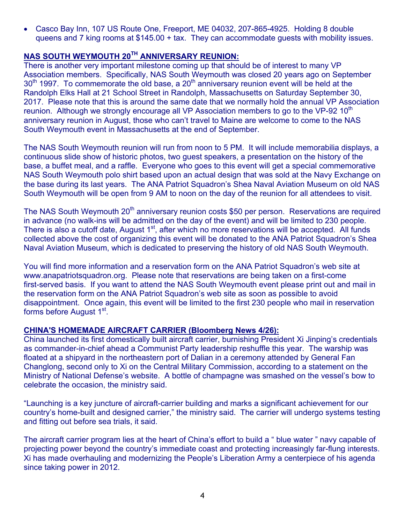• Casco Bay Inn, 107 US Route One, Freeport, ME 04032, 207-865-4925. Holding 8 double queens and 7 king rooms at \$145.00 + tax. They can accommodate guests with mobility issues.

# **NAS SOUTH WEYMOUTH 20TH ANNIVERSARY REUNION:**

There is another very important milestone coming up that should be of interest to many VP Association members. Specifically, NAS South Weymouth was closed 20 years ago on September 30<sup>th</sup> 1997. To commemorate the old base, a 20<sup>th</sup> anniversary reunion event will be held at the Randolph Elks Hall at 21 School Street in Randolph, Massachusetts on Saturday September 30, 2017. Please note that this is around the same date that we normally hold the annual VP Association reunion. Although we strongly encourage all VP Association members to go to the VP-92 10<sup>th</sup> anniversary reunion in August, those who can't travel to Maine are welcome to come to the NAS South Weymouth event in Massachusetts at the end of September.

The NAS South Weymouth reunion will run from noon to 5 PM. It will include memorabilia displays, a continuous slide show of historic photos, two guest speakers, a presentation on the history of the base, a buffet meal, and a raffle. Everyone who goes to this event will get a special commemorative NAS South Weymouth polo shirt based upon an actual design that was sold at the Navy Exchange on the base during its last years. The ANA Patriot Squadron's Shea Naval Aviation Museum on old NAS South Weymouth will be open from 9 AM to noon on the day of the reunion for all attendees to visit.

The NAS South Weymouth 20<sup>th</sup> anniversary reunion costs \$50 per person. Reservations are required in advance (no walk-ins will be admitted on the day of the event) and will be limited to 230 people. There is also a cutoff date, August 1<sup>st</sup>, after which no more reservations will be accepted. All funds collected above the cost of organizing this event will be donated to the ANA Patriot Squadron's Shea Naval Aviation Museum, which is dedicated to preserving the history of old NAS South Weymouth.

You will find more information and a reservation form on the ANA Patriot Squadron's web site at www.anapatriotsquadron.org. Please note that reservations are being taken on a first-come first-served basis. If you want to attend the NAS South Weymouth event please print out and mail in the reservation form on the ANA Patriot Squadron's web site as soon as possible to avoid disappointment. Once again, this event will be limited to the first 230 people who mail in reservation forms before August 1st.

#### **CHINA'S HOMEMADE AIRCRAFT CARRIER (Bloomberg News 4/26):**

China launched its first domestically built aircraft carrier, burnishing President Xi Jinping's credentials as commander-in-chief ahead a Communist Party leadership reshuffle this year. The warship was floated at a shipyard in the northeastern port of Dalian in a ceremony attended by General Fan Changlong, second only to Xi on the Central Military Commission, according to a statement on the Ministry of National Defense's website. A bottle of champagne was smashed on the vessel's bow to celebrate the occasion, the ministry said.

"Launching is a key juncture of aircraft-carrier building and marks a significant achievement for our country's home-built and designed carrier," the ministry said. The carrier will undergo systems testing and fitting out before sea trials, it said.

The aircraft carrier program lies at the heart of China's effort to build a " blue water " navy capable of projecting power beyond the country's immediate coast and protecting increasingly far-flung interests. Xi has made overhauling and modernizing the People's Liberation Army a centerpiece of his agenda since taking power in 2012.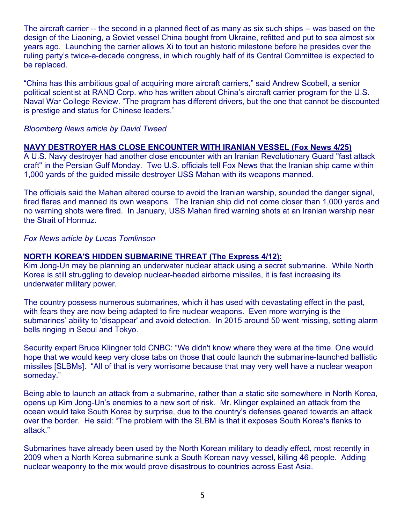The aircraft carrier -- the second in a planned fleet of as many as six such ships -- was based on the design of the Liaoning, a Soviet vessel China bought from Ukraine, refitted and put to sea almost six years ago. Launching the carrier allows Xi to tout an historic milestone before he presides over the ruling party's twice-a-decade congress, in which roughly half of its Central Committee is expected to be replaced.

"China has this ambitious goal of acquiring more aircraft carriers," said Andrew Scobell, a senior political scientist at RAND Corp. who has written about China's aircraft carrier program for the U.S. Naval War College Review. "The program has different drivers, but the one that cannot be discounted is prestige and status for Chinese leaders."

#### *Bloomberg News article by David Tweed*

#### **NAVY DESTROYER HAS CLOSE ENCOUNTER WITH IRANIAN VESSEL (Fox News 4/25)**

A U.S. Navy destroyer had another close encounter with an Iranian Revolutionary Guard "fast attack craft" in the Persian Gulf Monday. Two U.S. officials tell Fox News that the Iranian ship came within 1,000 yards of the guided missile destroyer USS Mahan with its weapons manned.

The officials said the Mahan altered course to avoid the Iranian warship, sounded the danger signal, fired flares and manned its own weapons. The Iranian ship did not come closer than 1,000 yards and no warning shots were fired. In January, USS Mahan fired warning shots at an Iranian warship near the Strait of Hormuz.

*Fox News article by Lucas Tomlinson* 

#### **NORTH KOREA'S HIDDEN SUBMARINE THREAT (The Express 4/12):**

Kim Jong-Un may be planning an underwater nuclear attack using a secret submarine. While North Korea is still struggling to develop nuclear-headed airborne missiles, it is fast increasing its underwater military power.

The country possess numerous submarines, which it has used with devastating effect in the past, with fears they are now being adapted to fire nuclear weapons. Even more worrying is the submarines' ability to 'disappear' and avoid detection. In 2015 around 50 went missing, setting alarm bells ringing in Seoul and Tokyo.

Security expert Bruce Klingner told CNBC: "We didn't know where they were at the time. One would hope that we would keep very close tabs on those that could launch the submarine-launched ballistic missiles [SLBMs]. "All of that is very worrisome because that may very well have a nuclear weapon someday."

Being able to launch an attack from a submarine, rather than a static site somewhere in North Korea, opens up Kim Jong-Un's enemies to a new sort of risk. Mr. Klinger explained an attack from the ocean would take South Korea by surprise, due to the country's defenses geared towards an attack over the border. He said: "The problem with the SLBM is that it exposes South Korea's flanks to attack."

Submarines have already been used by the North Korean military to deadly effect, most recently in 2009 when a North Korea submarine sunk a South Korean navy vessel, killing 46 people. Adding nuclear weaponry to the mix would prove disastrous to countries across East Asia.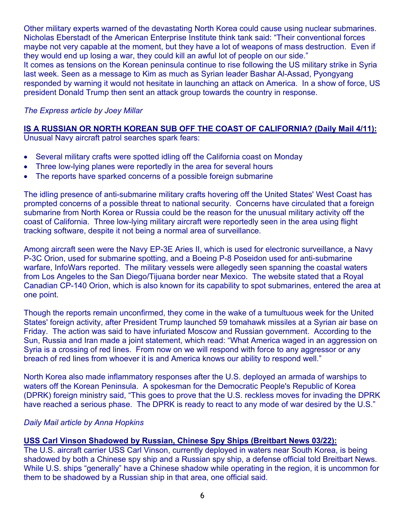Other military experts warned of the devastating North Korea could cause using nuclear submarines. Nicholas Eberstadt of the American Enterprise Institute think tank said: "Their conventional forces maybe not very capable at the moment, but they have a lot of weapons of mass destruction. Even if they would end up losing a war, they could kill an awful lot of people on our side." It comes as tensions on the Korean peninsula continue to rise following the US military strike in Syria last week. Seen as a message to Kim as much as Syrian leader Bashar Al-Assad, Pyongyang responded by warning it would not hesitate in launching an attack on America. In a show of force, US president Donald Trump then sent an attack group towards the country in response.

#### *The Express article by Joey Millar*

# **IS A RUSSIAN OR NORTH KOREAN SUB OFF THE COAST OF CALIFORNIA? (Daily Mail 4/11):**

Unusual Navy aircraft patrol searches spark fears:

- Several military crafts were spotted idling off the California coast on Monday
- Three low-lying planes were reportedly in the area for several hours
- The reports have sparked concerns of a possible foreign submarine

The idling presence of anti-submarine military crafts hovering off the United States' West Coast has prompted concerns of a possible threat to national security. Concerns have circulated that a foreign submarine from North Korea or Russia could be the reason for the unusual military activity off the coast of California. Three low-lying military aircraft were reportedly seen in the area using flight tracking software, despite it not being a normal area of surveillance.

Among aircraft seen were the Navy EP-3E Aries II, which is used for electronic surveillance, a Navy P-3C Orion, used for submarine spotting, and a Boeing P-8 Poseidon used for anti-submarine warfare, InfoWars reported. The military vessels were allegedly seen spanning the coastal waters from Los Angeles to the San Diego/Tijuana border near Mexico. The website stated that a Royal Canadian CP-140 Orion, which is also known for its capability to spot submarines, entered the area at one point.

Though the reports remain unconfirmed, they come in the wake of a tumultuous week for the United States' foreign activity, after President Trump launched 59 tomahawk missiles at a Syrian air base on Friday. The action was said to have infuriated Moscow and Russian government. According to the Sun, Russia and Iran made a joint statement, which read: "What America waged in an aggression on Syria is a crossing of red lines. From now on we will respond with force to any aggressor or any breach of red lines from whoever it is and America knows our ability to respond well."

North Korea also made inflammatory responses after the U.S. deployed an armada of warships to waters off the Korean Peninsula. A spokesman for the Democratic People's Republic of Korea (DPRK) foreign ministry said, "This goes to prove that the U.S. reckless moves for invading the DPRK have reached a serious phase. The DPRK is ready to react to any mode of war desired by the U.S."

#### *Daily Mail article by Anna Hopkins*

#### **USS Carl Vinson Shadowed by Russian, Chinese Spy Ships (Breitbart News 03/22):**

The U.S. aircraft carrier USS Carl Vinson, currently deployed in waters near South Korea, is being shadowed by both a Chinese spy ship and a Russian spy ship, a defense official told Breitbart News. While U.S. ships "generally" have a Chinese shadow while operating in the region, it is uncommon for them to be shadowed by a Russian ship in that area, one official said.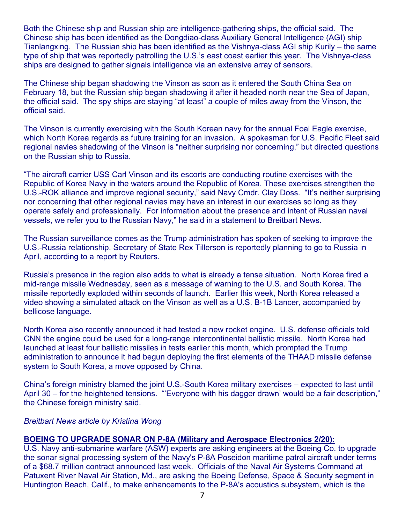Both the Chinese ship and Russian ship are intelligence-gathering ships, the official said. The Chinese ship has been identified as the Dongdiao-class Auxiliary General Intelligence (AGI) ship Tianlangxing. The Russian ship has been identified as the Vishnya-class AGI ship Kurily – the same type of ship that was reportedly patrolling the U.S.'s east coast earlier this year. The Vishnya-class ships are designed to gather signals intelligence via an extensive array of sensors.

The Chinese ship began shadowing the Vinson as soon as it entered the South China Sea on February 18, but the Russian ship began shadowing it after it headed north near the Sea of Japan, the official said. The spy ships are staying "at least" a couple of miles away from the Vinson, the official said.

The Vinson is currently exercising with the South Korean navy for the annual Foal Eagle exercise, which North Korea regards as future training for an invasion. A spokesman for U.S. Pacific Fleet said regional navies shadowing of the Vinson is "neither surprising nor concerning," but directed questions on the Russian ship to Russia.

"The aircraft carrier USS Carl Vinson and its escorts are conducting routine exercises with the Republic of Korea Navy in the waters around the Republic of Korea. These exercises strengthen the U.S.-ROK alliance and improve regional security," said Navy Cmdr. Clay Doss. "It's neither surprising nor concerning that other regional navies may have an interest in our exercises so long as they operate safely and professionally. For information about the presence and intent of Russian naval vessels, we refer you to the Russian Navy," he said in a statement to Breitbart News.

The Russian surveillance comes as the Trump administration has spoken of seeking to improve the U.S.-Russia relationship. Secretary of State Rex Tillerson is reportedly planning to go to Russia in April, according to a report by Reuters.

Russia's presence in the region also adds to what is already a tense situation. North Korea fired a mid-range missile Wednesday, seen as a message of warning to the U.S. and South Korea. The missile reportedly exploded within seconds of launch. Earlier this week, North Korea released a video showing a simulated attack on the Vinson as well as a U.S. B-1B Lancer, accompanied by bellicose language.

North Korea also recently announced it had tested a new rocket engine. U.S. defense officials told CNN the engine could be used for a long-range intercontinental ballistic missile. North Korea had launched at least four ballistic missiles in tests earlier this month, which prompted the Trump administration to announce it had begun deploying the first elements of the THAAD missile defense system to South Korea, a move opposed by China.

China's foreign ministry blamed the joint U.S.-South Korea military exercises – expected to last until April 30 – for the heightened tensions. "'Everyone with his dagger drawn' would be a fair description," the Chinese foreign ministry said.

#### *Breitbart News article by Kristina Wong*

#### **BOEING TO UPGRADE SONAR ON P-8A (Military and Aerospace Electronics 2/20):**

U.S. Navy anti-submarine warfare (ASW) experts are asking engineers at the Boeing Co. to upgrade the sonar signal processing system of the Navy's P-8A Poseidon maritime patrol aircraft under terms of a \$68.7 million contract announced last week. Officials of the Naval Air Systems Command at Patuxent River Naval Air Station, Md., are asking the Boeing Defense, Space & Security segment in Huntington Beach, Calif., to make enhancements to the P-8A's acoustics subsystem, which is the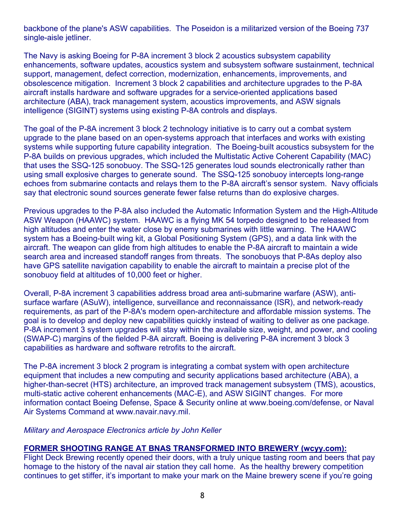backbone of the plane's ASW capabilities. The Poseidon is a militarized version of the Boeing 737 single-aisle jetliner.

The Navy is asking Boeing for P-8A increment 3 block 2 acoustics subsystem capability enhancements, software updates, acoustics system and subsystem software sustainment, technical support, management, defect correction, modernization, enhancements, improvements, and obsolescence mitigation. Increment 3 block 2 capabilities and architecture upgrades to the P-8A aircraft installs hardware and software upgrades for a service-oriented applications based architecture (ABA), track management system, acoustics improvements, and ASW signals intelligence (SIGINT) systems using existing P-8A controls and displays.

The goal of the P-8A increment 3 block 2 technology initiative is to carry out a combat system upgrade to the plane based on an open-systems approach that interfaces and works with existing systems while supporting future capability integration. The Boeing-built acoustics subsystem for the P-8A builds on previous upgrades, which included the Multistatic Active Coherent Capability (MAC) that uses the SSQ-125 sonobuoy. The SSQ-125 generates loud sounds electronically rather than using small explosive charges to generate sound. The SSQ-125 sonobuoy intercepts long-range echoes from submarine contacts and relays them to the P-8A aircraft's sensor system. Navy officials say that electronic sound sources generate fewer false returns than do explosive charges.

Previous upgrades to the P-8A also included the Automatic Information System and the High-Altitude ASW Weapon (HAAWC) system. HAAWC is a flying MK 54 torpedo designed to be released from high altitudes and enter the water close by enemy submarines with little warning. The HAAWC system has a Boeing-built wing kit, a Global Positioning System (GPS), and a data link with the aircraft. The weapon can glide from high altitudes to enable the P-8A aircraft to maintain a wide search area and increased standoff ranges from threats. The sonobuoys that P-8As deploy also have GPS satellite navigation capability to enable the aircraft to maintain a precise plot of the sonobuoy field at altitudes of 10,000 feet or higher.

Overall, P-8A increment 3 capabilities address broad area anti-submarine warfare (ASW), antisurface warfare (ASuW), intelligence, surveillance and reconnaissance (ISR), and network-ready requirements, as part of the P-8A's modern open-architecture and affordable mission systems. The goal is to develop and deploy new capabilities quickly instead of waiting to deliver as one package. P-8A increment 3 system upgrades will stay within the available size, weight, and power, and cooling (SWAP-C) margins of the fielded P-8A aircraft. Boeing is delivering P-8A increment 3 block 3 capabilities as hardware and software retrofits to the aircraft.

The P-8A increment 3 block 2 program is integrating a combat system with open architecture equipment that includes a new computing and security applications based architecture (ABA), a higher-than-secret (HTS) architecture, an improved track management subsystem (TMS), acoustics, multi-static active coherent enhancements (MAC-E), and ASW SIGINT changes. For more information contact Boeing Defense, Space & Security online at www.boeing.com/defense, or Naval Air Systems Command at www.navair.navy.mil.

#### *Military and Aerospace Electronics article by John Keller*

#### **FORMER SHOOTING RANGE AT BNAS TRANSFORMED INTO BREWERY (wcyy.com):**

Flight Deck Brewing recently opened their doors, with a truly unique tasting room and beers that pay homage to the history of the naval air station they call home. As the healthy brewery competition continues to get stiffer, it's important to make your mark on the Maine brewery scene if you're going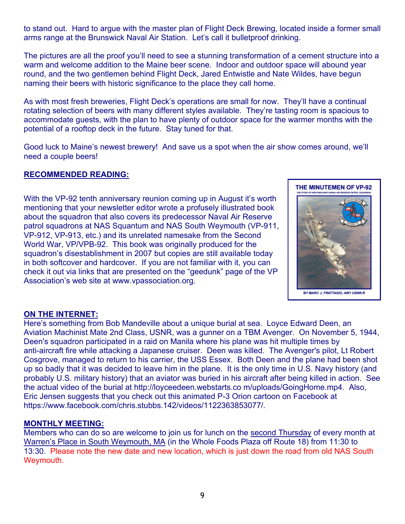to stand out. Hard to argue with the master plan of Flight Deck Brewing, located inside a former small arms range at the Brunswick Naval Air Station. Let's call it bulletproof drinking.

The pictures are all the proof you'll need to see a stunning transformation of a cement structure into a warm and welcome addition to the Maine beer scene. Indoor and outdoor space will abound year round, and the two gentlemen behind Flight Deck, Jared Entwistle and Nate Wildes, have begun naming their beers with historic significance to the place they call home.

As with most fresh breweries, Flight Deck's operations are small for now. They'll have a continual rotating selection of beers with many different styles available. They're tasting room is spacious to accommodate guests, with the plan to have plenty of outdoor space for the warmer months with the potential of a rooftop deck in the future. Stay tuned for that.

Good luck to Maine's newest brewery! And save us a spot when the air show comes around, we'll need a couple beers!

#### **RECOMMENDED READING:**

With the VP-92 tenth anniversary reunion coming up in August it's worth mentioning that your newsletter editor wrote a profusely illustrated book about the squadron that also covers its predecessor Naval Air Reserve patrol squadrons at NAS Squantum and NAS South Weymouth (VP-911, VP-912, VP-913, etc.) and its unrelated namesake from the Second World War, VP/VPB-92. This book was originally produced for the squadron's disestablishment in 2007 but copies are still available today in both softcover and hardcover. If you are not familiar with it, you can check it out via links that are presented on the "geedunk" page of the VP Association's web site at www.vpassociation.org.



#### **ON THE INTERNET:**

Here's something from Bob Mandeville about a unique burial at sea. Loyce Edward Deen, an Aviation Machinist Mate 2nd Class, USNR, was a gunner on a TBM Avenger. On November 5, 1944, Deen's squadron participated in a raid on Manila where his plane was hit multiple times by anti-aircraft fire while attacking a Japanese cruiser. Deen was killed. The Avenger's pilot, Lt Robert Cosgrove, managed to return to his carrier, the USS Essex. Both Deen and the plane had been shot up so badly that it was decided to leave him in the plane. It is the only time in U.S. Navy history (and probably U.S. military history) that an aviator was buried in his aircraft after being killed in action. See the actual video of the burial at http://loyceedeen.webstarts.co m/uploads/GoingHome.mp4. Also, Eric Jensen suggests that you check out this animated P-3 Orion cartoon on Facebook at https://www.facebook.com/chris.stubbs.142/videos/1122363853077/.

#### **MONTHLY MEETING:**

Members who can do so are welcome to join us for lunch on the second Thursday of every month at Warren's Place in South Weymouth, MA (in the Whole Foods Plaza off Route 18) from 11:30 to 13:30. Please note the new date and new location, which is just down the road from old NAS South Weymouth.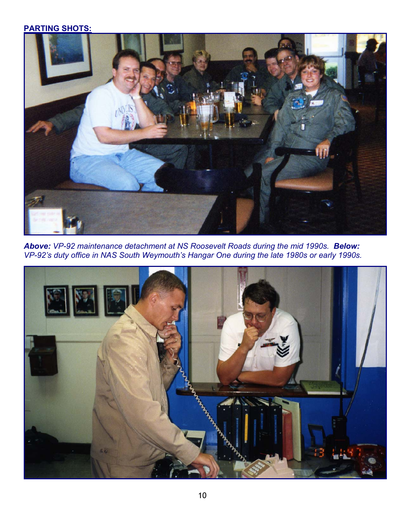# **PARTING SHOTS:**



*Above: VP-92 maintenance detachment at NS Roosevelt Roads during the mid 1990s. Below: VP-92's duty office in NAS South Weymouth's Hangar One during the late 1980s or early 1990s.* 

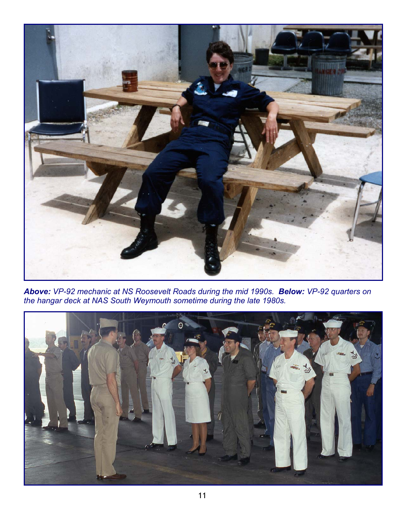

*Above: VP-92 mechanic at NS Roosevelt Roads during the mid 1990s. Below: VP-92 quarters on the hangar deck at NAS South Weymouth sometime during the late 1980s.*